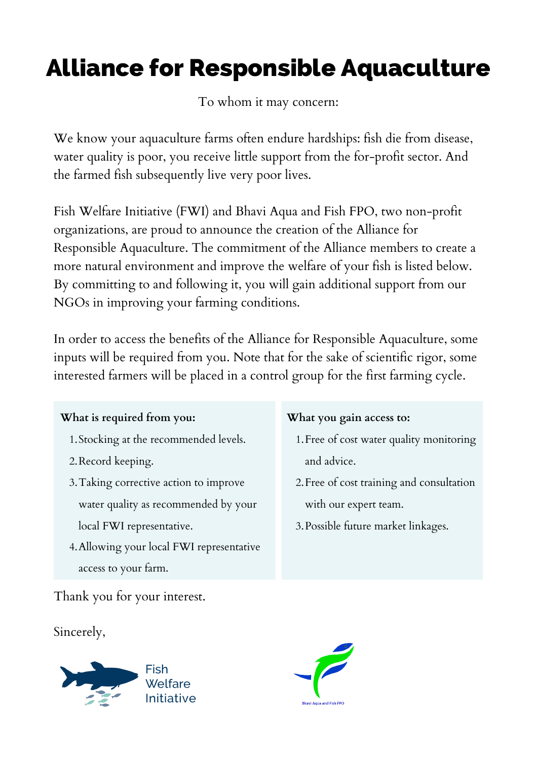# Alliance for Responsible Aquaculture

To whom it may concern:

We know your aquaculture farms often endure hardships: fish die from disease, water quality is poor, you receive little support from the for-profit sector. And the farmed fish subsequently live very poor lives.

Fish Welfare Initiative (FWI) and Bhavi Aqua and Fish FPO, two non-profit organizations, are proud to announce the creation of the Alliance for Responsible Aquaculture. The commitment of the Alliance members to create a more natural environment and improve the welfare of your fish is listed below. By committing to and following it, you will gain additional support from our NGOs in improving your farming conditions.

In order to access the benefits of the Alliance for Responsible Aquaculture, some inputs will be required from you. Note that for the sake of scientific rigor, some interested farmers will be placed in a control group for the first farming cycle.

#### **What is required from you:**

- 1. Stocking at the recommended levels.
- 2.Record keeping.
- Taking corrective action to improve 3. water quality as recommended by your local FWI representative.
- Allowing your local FWI representative 4. access to your farm.

#### **What you gain access to:**

- 1. Free of cost water quality monitoring and advice.
- 2. Free of cost training and consultation with our expert team.
- Possible future market linkages. 3.

Thank you for your interest.

Sincerely,